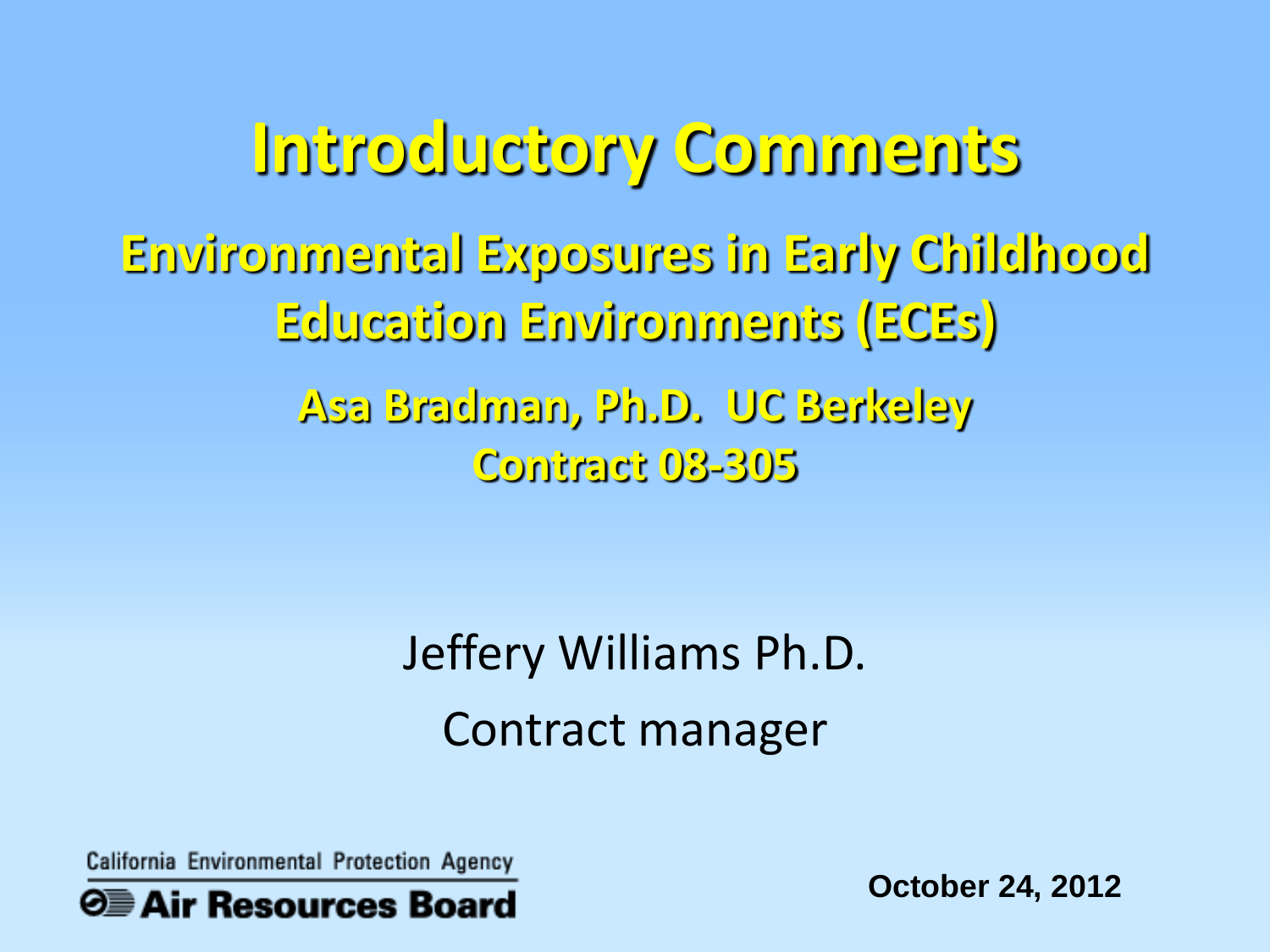Education Environments (ECEs) **Education Environments (ECEs)**  0 oryCo **Introductory Comments**  Environmental Exposures in Early Childhood **Environmental Exposures in Early Childhood**  Asa Bradman, Ph.D. UC Berkeley **Asa Bradman, Ph.D. UC Berkeley**  Contract 08-305 **Contract 08-305** 

> Jeffery Williams Ph.D. Contract manager

California Environmental Protection Agency



**October 24, 2012**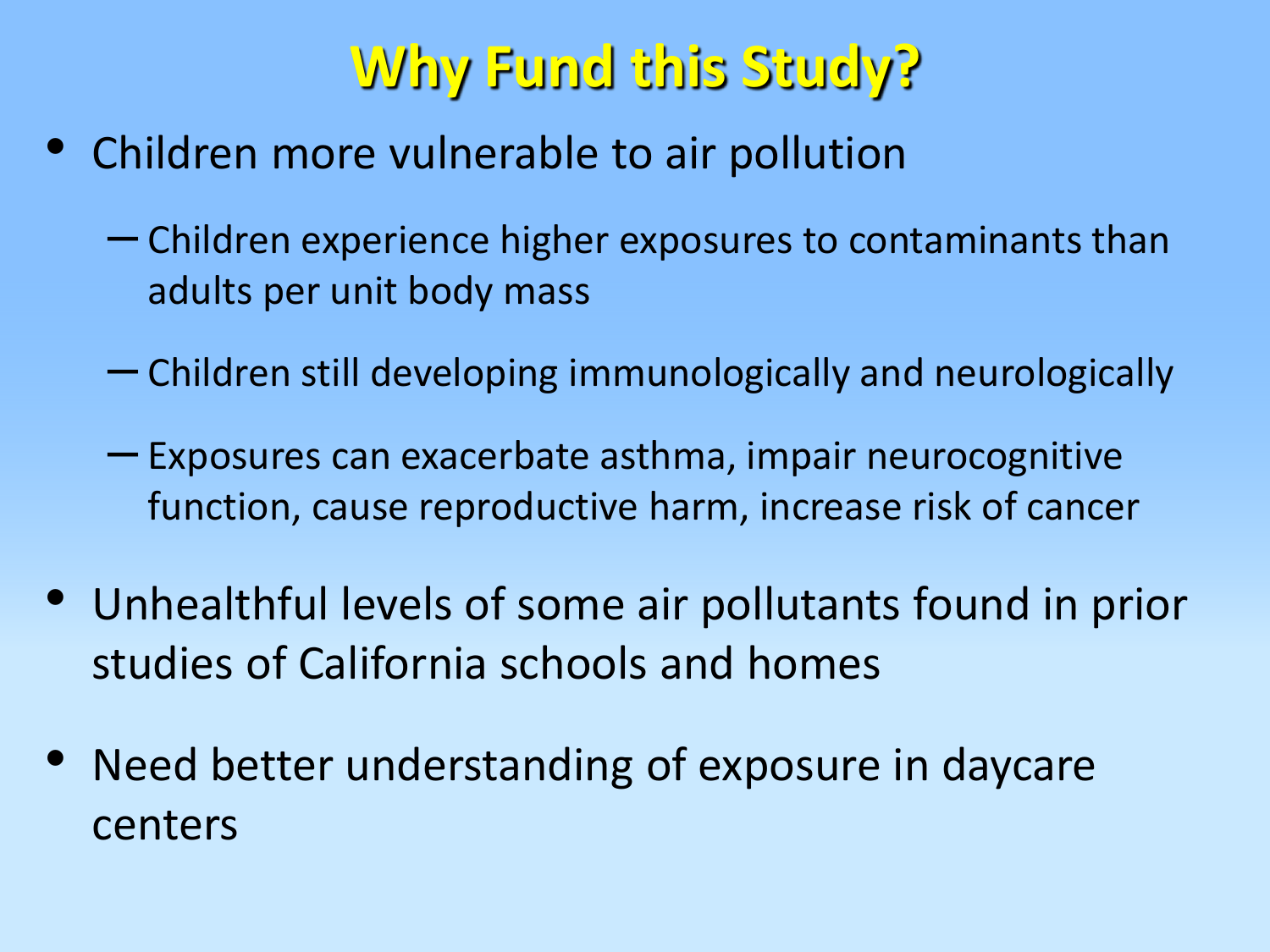## **Why Fund this Study?**

- Children more vulnerable to air pollution
	- Children experience higher exposures to contaminants than adults per unit body mass
	- Children still developing immunologically and neurologically
	- Exposures can exacerbate asthma, impair neurocognitive function, cause reproductive harm, increase risk of cancer
- • Unhealthful levels of some air pollutants found in prior studies of California schools and homes
- Need better understanding of exposure in daycare centers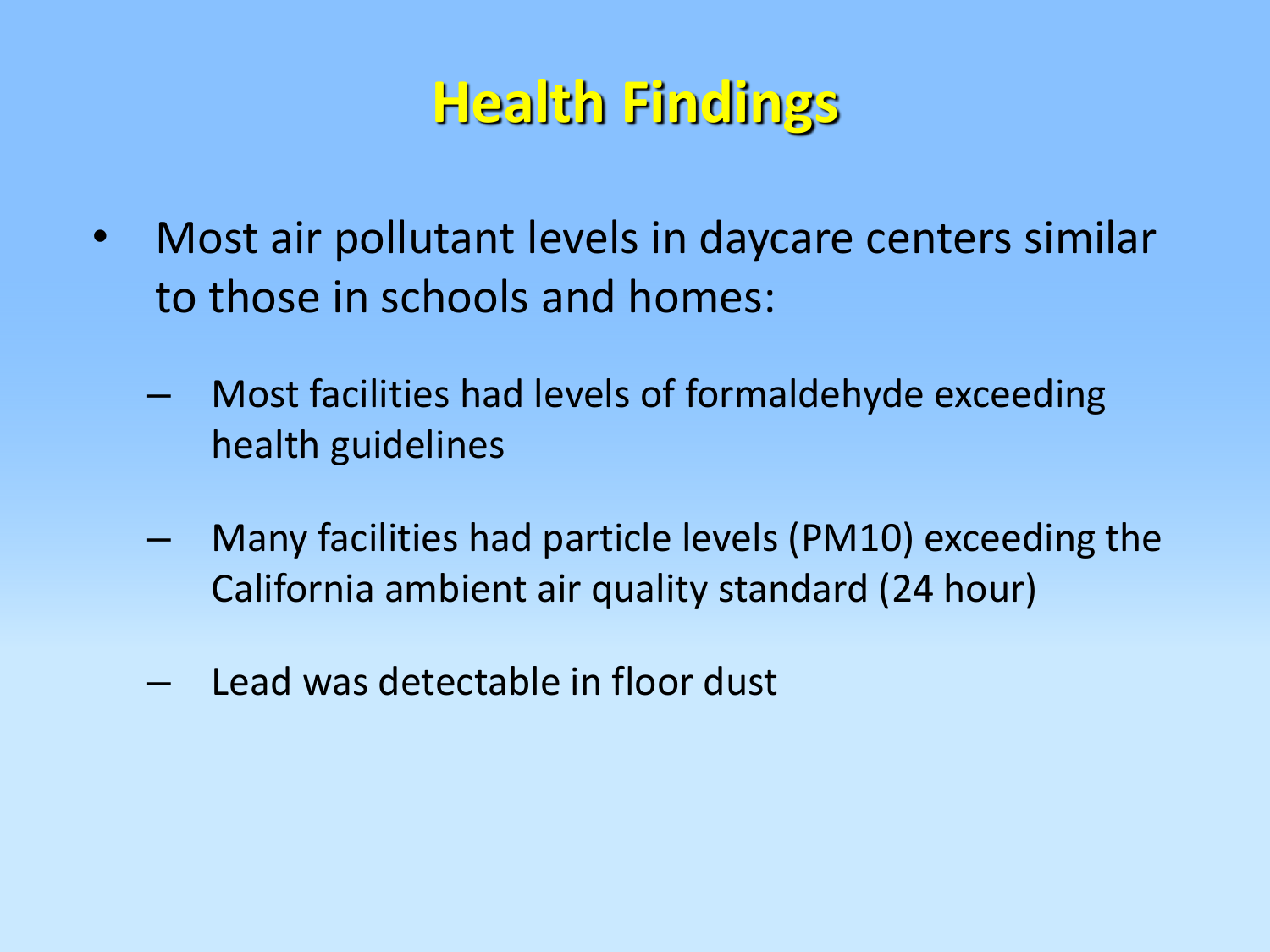## **Health Findings** : ea th F"nd"ngs

- Most air pollutant levels in daycare centers similar to those in schools and homes:
	- Most facilities had levels of formaldehyde exceeding health guidelines
	- Many facilities had particle levels (PM10) exceeding the California ambient air quality standard (24 hour)
	- Lead was detectable in floor dust